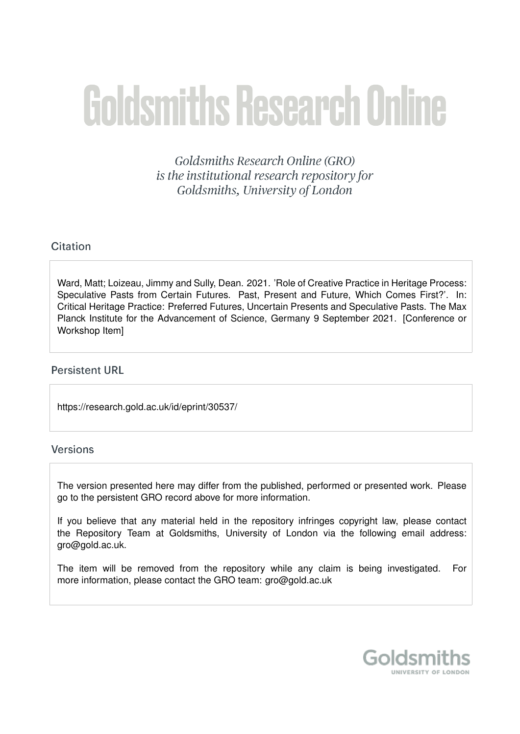# Goldsmiths Research Online

Goldsmiths Research Online (GRO) is the institutional research repository for Goldsmiths, University of London

# Citation

Ward, Matt; Loizeau, Jimmy and Sully, Dean. 2021. 'Role of Creative Practice in Heritage Process: Speculative Pasts from Certain Futures. Past, Present and Future, Which Comes First?'. In: Critical Heritage Practice: Preferred Futures, Uncertain Presents and Speculative Pasts. The Max Planck Institute for the Advancement of Science, Germany 9 September 2021. [Conference or Workshop Item]

# **Persistent URL**

https://research.gold.ac.uk/id/eprint/30537/

# **Versions**

The version presented here may differ from the published, performed or presented work. Please go to the persistent GRO record above for more information.

If you believe that any material held in the repository infringes copyright law, please contact the Repository Team at Goldsmiths, University of London via the following email address: gro@gold.ac.uk.

The item will be removed from the repository while any claim is being investigated. For more information, please contact the GRO team: gro@gold.ac.uk

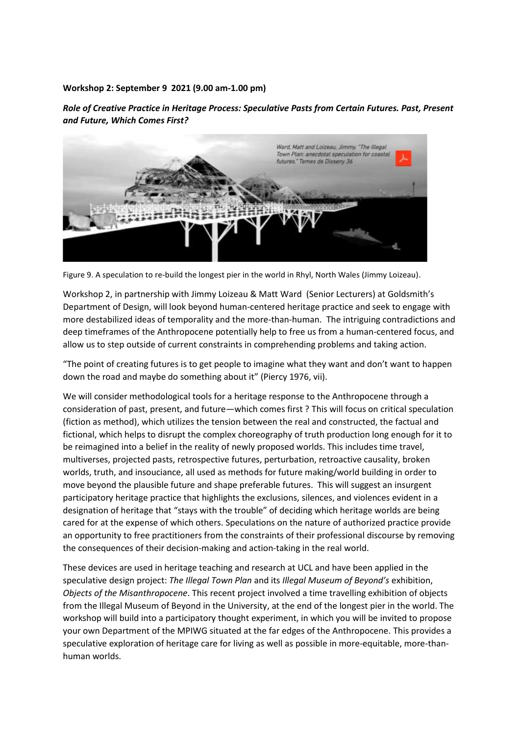#### **Workshop 2: September 9 2021 (9.00 am-1.00 pm)**

*Role of Creative Practice in Heritage Process: Speculative Pasts from Certain Futures. Past, Present and Future, Which Comes First?*



Figure 9. A speculation to re-build the longest pier in the world in Rhyl, North Wales (Jimmy Loizeau).

Workshop 2, in partnership with Jimmy Loizeau & Matt Ward (Senior Lecturers) at Goldsmith's Department of Design, will look beyond human-centered heritage practice and seek to engage with more destabilized ideas of temporality and the more-than-human. The intriguing contradictions and deep timeframes of the Anthropocene potentially help to free us from a human-centered focus, and allow us to step outside of current constraints in comprehending problems and taking action.

"The point of creating futures is to get people to imagine what they want and don't want to happen down the road and maybe do something about it" (Piercy 1976, vii).

We will consider methodological tools for a heritage response to the Anthropocene through a consideration of past, present, and future—which comes first ? This will focus on critical speculation (fiction as method), which utilizes the tension between the real and constructed, the factual and fictional, which helps to disrupt the complex choreography of truth production long enough for it to be reimagined into a belief in the reality of newly proposed worlds. This includes time travel, multiverses, projected pasts, retrospective futures, perturbation, retroactive causality, broken worlds, truth, and insouciance, all used as methods for future making/world building in order to move beyond the plausible future and shape preferable futures. This will suggest an insurgent participatory heritage practice that highlights the exclusions, silences, and violences evident in a designation of heritage that "stays with the trouble" of deciding which heritage worlds are being cared for at the expense of which others. Speculations on the nature of authorized practice provide an opportunity to free practitioners from the constraints of their professional discourse by removing the consequences of their decision-making and action-taking in the real world.

These devices are used in heritage teaching and research at UCL and have been applied in the speculative design project: *The Illegal Town Plan* and its *Illegal Museum of Beyond's* exhibition, *Objects of the Misanthropocene*. This recent project involved a time travelling exhibition of objects from the Illegal Museum of Beyond in the University, at the end of the longest pier in the world. The workshop will build into a participatory thought experiment, in which you will be invited to propose your own Department of the MPIWG situated at the far edges of the Anthropocene. This provides a speculative exploration of heritage care for living as well as possible in more-equitable, more-thanhuman worlds.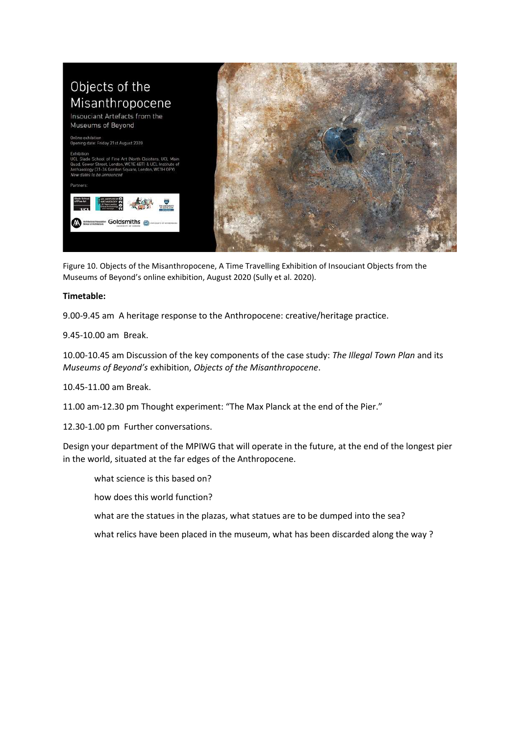

Figure 10. Objects of the Misanthropocene, A Time Travelling Exhibition of Insouciant Objects from the Museums of Beyond's online exhibition, August 2020 (Sully et al. 2020).

#### **Timetable:**

9.00-9.45 am A heritage response to the Anthropocene: creative/heritage practice.

9.45-10.00 am Break.

10.00-10.45 am Discussion of the key components of the case study: *The Illegal Town Plan* and its *Museums of Beyond's* exhibition, *Objects of the Misanthropocene*.

10.45-11.00 am Break.

11.00 am-12.30 pm Thought experiment: "The Max Planck at the end of the Pier."

12.30-1.00 pm Further conversations.

Design your department of the MPIWG that will operate in the future, at the end of the longest pier in the world, situated at the far edges of the Anthropocene.

what science is this based on?

how does this world function?

what are the statues in the plazas, what statues are to be dumped into the sea?

what relics have been placed in the museum, what has been discarded along the way ?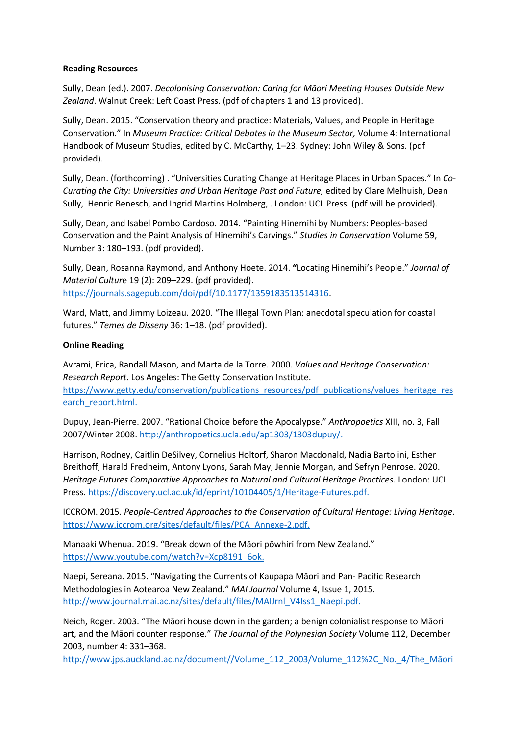#### **Reading Resources**

Sully, Dean (ed.). 2007. *Decolonising Conservation: Caring for Māori Meeting Houses Outside New Zealand*. Walnut Creek: Left Coast Press. (pdf of chapters 1 and 13 provided).

Sully, Dean. 2015. "Conservation theory and practice: Materials, Values, and People in Heritage Conservation." In *Museum Practice: Critical Debates in the Museum Sector,* Volume 4: International Handbook of Museum Studies, edited by C. McCarthy, 1–23. Sydney: John Wiley & Sons. (pdf provided).

Sully, Dean. (forthcoming) . "Universities Curating Change at Heritage Places in Urban Spaces." In *Co-Curating the City: Universities and Urban Heritage Past and Future,* edited by Clare Melhuish, Dean Sully, Henric Benesch, and Ingrid Martins Holmberg, . London: UCL Press. (pdf will be provided).

Sully, Dean, and Isabel Pombo Cardoso. 2014. "Painting Hinemihi by Numbers: Peoples-based Conservation and the Paint Analysis of Hinemihi's Carvings." *Studies in Conservation* Volume 59, Number 3: 180–193. (pdf provided).

Sully, Dean, Rosanna Raymond, and Anthony Hoete. 2014. **"**Locating Hinemihi's People." *Journal of Material Cultur*e 19 (2): 209–229. (pdf provided). [https://journals.sagepub.com/doi/pdf/10.1177/1359183513514316.](https://journals.sagepub.com/doi/pdf/10.1177/1359183513514316)

Ward, Matt, and Jimmy Loizeau. 2020. "The Illegal Town Plan: anecdotal speculation for coastal futures." *Temes de Disseny* 36: 1–18. (pdf provided).

# **Online Reading**

Avrami, Erica, Randall Mason, and Marta de la Torre. 2000. *Values and Heritage Conservation: Research Report*. Los Angeles: The Getty Conservation Institute. [https://www.getty.edu/conservation/publications\\_resources/pdf\\_publications/values\\_heritage\\_res](https://www.getty.edu/conservation/publications_resources/pdf_publications/values_heritage_research_report.html) earch report.html.

Dupuy, Jean-Pierre. 2007. "Rational Choice before the Apocalypse." *Anthropoetics* XIII, no. 3, Fall 2007/Winter 2008[. http://anthropoetics.ucla.edu/ap1303/1303dupuy/.](http://anthropoetics.ucla.edu/ap1303/1303dupuy/)

Harrison, Rodney, Caitlin DeSilvey, Cornelius Holtorf, Sharon Macdonald, Nadia Bartolini, Esther Breithoff, Harald Fredheim, Antony Lyons, Sarah May, Jennie Morgan, and Sefryn Penrose. 2020. *Heritage Futures Comparative Approaches to Natural and Cultural Heritage Practices.* London: UCL Press. [https://discovery.ucl.ac.uk/id/eprint/10104405/1/Heritage-Futures.pdf.](https://discovery.ucl.ac.uk/id/eprint/10104405/1/Heritage-Futures.pdf)

ICCROM. 2015. *People-Centred Approaches to the Conservation of Cultural Heritage: Living Heritage*. [https://www.iccrom.org/sites/default/files/PCA\\_Annexe-2.pdf.](https://www.iccrom.org/sites/default/files/PCA_Annexe-2.pdf)

Manaaki Whenua. 2019. "Break down of the Māori pōwhiri from New Zealand." [https://www.youtube.com/watch?v=Xcp8191\\_6ok.](https://www.youtube.com/watch?v=Xcp8191_6ok)

Naepi, Sereana. 2015. "Navigating the Currents of Kaupapa Māori and Pan- Pacific Research Methodologies in Aotearoa New Zealand." *MAI Journal* Volume 4, Issue 1, 2015. [http://www.journal.mai.ac.nz/sites/default/files/MAIJrnl\\_V4Iss1\\_Naepi.pdf.](http://www.journal.mai.ac.nz/sites/default/files/MAIJrnl_V4Iss1_Naepi.pdf)

Neich, Roger. 2003. "The Māori house down in the garden; a benign colonialist response to Māori art, and the Māori counter response." *The Journal of the Polynesian Society* Volume 112, December 2003, number 4: 331–368.

[http://www.jps.auckland.ac.nz/document//Volume\\_112\\_2003/Volume\\_112%2C\\_No.\\_4/The\\_](http://www.jps.auckland.ac.nz/document/Volume_112_2003/Volume_112%2C_No._4/The_Maori_house_down_in_the_garden%3A_a_benign_colonialist_response_to_Maori_art_and_the_Maori_counter-response%2C_by_Roger_Neich%2C_p_331-368/p1)Māori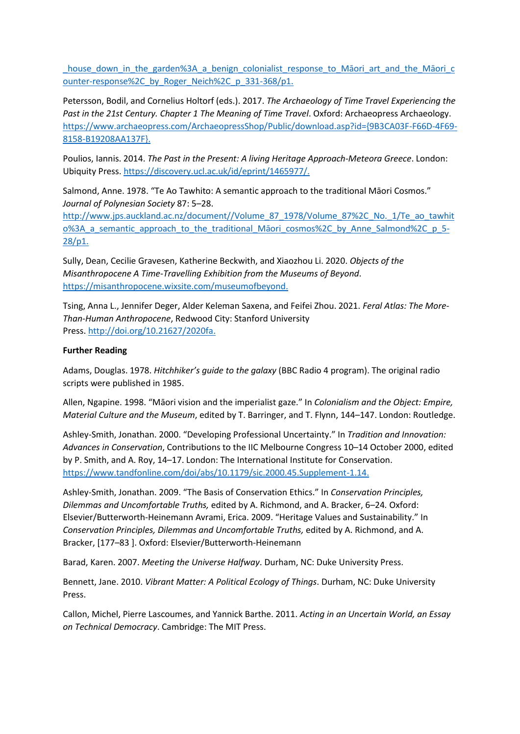house down in the garden%3A a benign colonialist response to Māori art and the Māori c [ounter-response%2C\\_by\\_Roger\\_Neich%2C\\_p\\_331-368/p1.](http://www.jps.auckland.ac.nz/document/Volume_112_2003/Volume_112%2C_No._4/The_Maori_house_down_in_the_garden%3A_a_benign_colonialist_response_to_Maori_art_and_the_Maori_counter-response%2C_by_Roger_Neich%2C_p_331-368/p1)

Petersson, Bodil, and Cornelius Holtorf (eds.). 2017. *The Archaeology of Time Travel Experiencing the Past in the 21st Century. Chapter 1 The Meaning of Time Travel*. Oxford: Archaeopress Archaeology. [https://www.archaeopress.com/ArchaeopressShop/Public/download.asp?id={9B3CA03F-F66D-4F69-](https://www.archaeopress.com/ArchaeopressShop/Public/download.asp?id=%7b9B3CA03F-F66D-4F69-8158-B19208AA137F%7d) [8158-B19208AA137F}.](https://www.archaeopress.com/ArchaeopressShop/Public/download.asp?id=%7b9B3CA03F-F66D-4F69-8158-B19208AA137F%7d)

Poulios, Iannis. 2014. *The Past in the Present: A living Heritage Approach-Meteora Greece*. London: Ubiquity Press[. https://discovery.ucl.ac.uk/id/eprint/1465977/.](https://discovery.ucl.ac.uk/id/eprint/1465977/)

Salmond, Anne. 1978. "Te Ao Tawhito: A semantic approach to the traditional Māori Cosmos." *Journal of Polynesian Society* 87: 5–28.

[http://www.jps.auckland.ac.nz/document//Volume\\_87\\_1978/Volume\\_87%2C\\_No.\\_1/Te\\_ao\\_tawhit](http://www.jps.auckland.ac.nz/document/Volume_87_1978/Volume_87%2C_No._1/Te_ao_tawhito%3A_a_semantic_approach_to_the_traditional_Maori_cosmos%2C_by_Anne_Salmond%2C_p_5-28/p1) o%3A a semantic approach to the traditional Māori cosmos%2C by Anne Salmond%2C p 5-[28/p1.](http://www.jps.auckland.ac.nz/document/Volume_87_1978/Volume_87%2C_No._1/Te_ao_tawhito%3A_a_semantic_approach_to_the_traditional_Maori_cosmos%2C_by_Anne_Salmond%2C_p_5-28/p1)

Sully, Dean, Cecilie Gravesen, Katherine Beckwith, and Xiaozhou Li. 2020. *Objects of the Misanthropocene A Time-Travelling Exhibition from the Museums of Beyond*. [https://misanthropocene.wixsite.com/museumofbeyond.](https://misanthropocene.wixsite.com/museumofbeyond)

Tsing, Anna L., Jennifer Deger, Alder Keleman Saxena, and Feifei Zhou. 2021. *Feral Atlas: The More-Than-Human Anthropocene*, Redwood City: Stanford University Press. [http://doi.org/10.21627/2020fa.](http://doi.org/10.21627/2020fa)

#### **Further Reading**

Adams, Douglas. 1978. *Hitchhiker's guide to the galaxy* (BBC Radio 4 program). The original radio scripts were published in 1985.

Allen, Ngapine. 1998. "Māori vision and the imperialist gaze." In *Colonialism and the Object: Empire, Material Culture and the Museum*, edited by T. Barringer, and T. Flynn, 144–147. London: Routledge.

Ashley-Smith, Jonathan. 2000. "Developing Professional Uncertainty." In *Tradition and Innovation: Advances in Conservation*, Contributions to the IIC Melbourne Congress 10–14 October 2000, edited by P. Smith, and A. Roy, 14–17. London: The International Institute for Conservation. [https://www.tandfonline.com/doi/abs/10.1179/sic.2000.45.Supplement-1.14.](https://www.tandfonline.com/doi/abs/10.1179/sic.2000.45.Supplement-1.14)

Ashley-Smith, Jonathan. 2009. "The Basis of Conservation Ethics." In *Conservation Principles, Dilemmas and Uncomfortable Truths,* edited by A. Richmond, and A. Bracker, 6–24*.* Oxford: Elsevier/Butterworth-Heinemann Avrami, Erica. 2009. "Heritage Values and Sustainability." In *Conservation Principles, Dilemmas and Uncomfortable Truths,* edited by A. Richmond, and A. Bracker, [177–83 ]. Oxford: Elsevier/Butterworth-Heinemann

Barad, Karen. 2007. *Meeting the Universe Halfway*. Durham, NC: Duke University Press.

Bennett, Jane. 2010. *Vibrant Matter: A Political Ecology of Things*. Durham, NC: Duke University Press.

Callon, Michel, Pierre Lascoumes, and Yannick Barthe. 2011. *Acting in an Uncertain World, an Essay on Technical Democracy*. Cambridge: The MIT Press.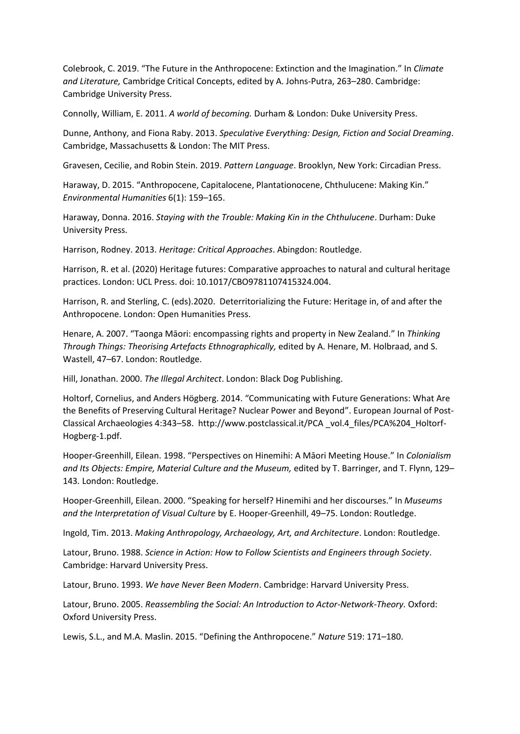Colebrook, C. 2019. "The Future in the Anthropocene: Extinction and the Imagination." In *Climate and Literature,* Cambridge Critical Concepts, edited by A. Johns-Putra, 263–280. Cambridge: Cambridge University Press.

Connolly, William, E. 2011. *A world of becoming.* Durham & London: Duke University Press.

Dunne, Anthony, and Fiona Raby. 2013. *Speculative Everything: Design, Fiction and Social Dreaming*. Cambridge, Massachusetts & London: The MIT Press.

Gravesen, Cecilie, and Robin Stein. 2019. *Pattern Language*. Brooklyn, New York: Circadian Press.

Haraway, D. 2015. "Anthropocene, Capitalocene, Plantationocene, Chthulucene: Making Kin." *Environmental Humanities* 6(1): 159–165.

Haraway, Donna. 2016. *Staying with the Trouble: Making Kin in the Chthulucene*. Durham: Duke University Press.

Harrison, Rodney. 2013. *Heritage: Critical Approaches*. Abingdon: Routledge.

Harrison, R. et al. (2020) Heritage futures: Comparative approaches to natural and cultural heritage practices. London: UCL Press. doi: 10.1017/CBO9781107415324.004.

Harrison, R. and Sterling, C. (eds).2020. Deterritorializing the Future: Heritage in, of and after the Anthropocene. London: Open Humanities Press.

Henare, A. 2007. "Taonga Māori: encompassing rights and property in New Zealand." In *Thinking Through Things: Theorising Artefacts Ethnographically,* edited by A. Henare, M. Holbraad, and S. Wastell, 47–67. London: Routledge.

Hill, Jonathan. 2000. *The Illegal Architect*. London: Black Dog Publishing.

Holtorf, Cornelius, and Anders Högberg. 2014. "Communicating with Future Generations: What Are the Benefits of Preserving Cultural Heritage? Nuclear Power and Beyond". European Journal of Post-Classical Archaeologies 4:343–58. http://www.postclassical.it/PCA \_vol.4\_files/PCA%204\_Holtorf-Hogberg-1.pdf.

Hooper-Greenhill, Eilean. 1998. "Perspectives on Hinemihi: A Māori Meeting House." In *Colonialism and Its Objects: Empire, Material Culture and the Museum,* edited by T. Barringer, and T. Flynn, 129– 143*.* London: Routledge.

Hooper-Greenhill, Eilean. 2000. "Speaking for herself? Hinemihi and her discourses." In *Museums and the Interpretation of Visual Culture* by E. Hooper-Greenhill, 49–75. London: Routledge.

Ingold, Tim. 2013. *Making Anthropology, Archaeology, Art, and Architecture*. London: Routledge.

Latour, Bruno. 1988. *Science in Action: How to Follow Scientists and Engineers through Society*. Cambridge: Harvard University Press.

Latour, Bruno. 1993. *We have Never Been Modern*. Cambridge: Harvard University Press.

Latour, Bruno. 2005. *Reassembling the Social: An Introduction to Actor-Network-Theory.* Oxford: Oxford University Press.

Lewis, S.L., and M.A. Maslin. 2015. "Defining the Anthropocene." *Nature* 519: 171–180.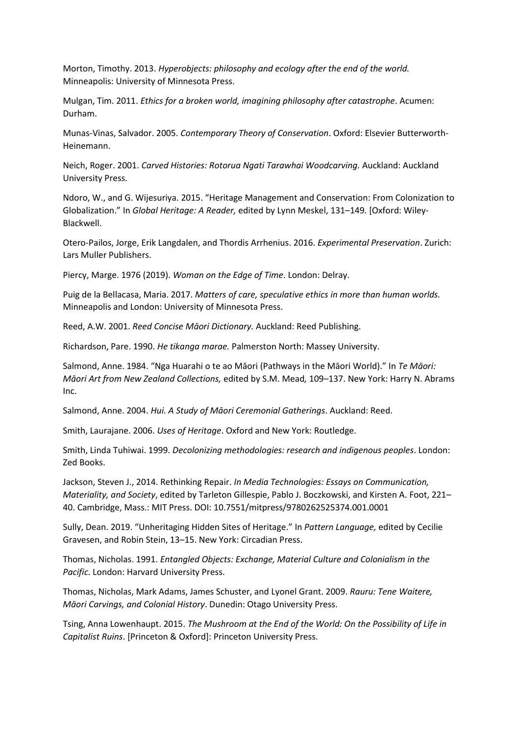Morton, Timothy. 2013. *Hyperobjects: philosophy and ecology after the end of the world.*  Minneapolis: University of Minnesota Press.

Mulgan, Tim. 2011. *Ethics for a broken world, imagining philosophy after catastrophe*. Acumen: Durham.

Munas-Vinas, Salvador. 2005. *Contemporary Theory of Conservation*. Oxford: Elsevier Butterworth-Heinemann.

Neich, Roger. 2001. *Carved Histories: Rotorua Ngati Tarawhai Woodcarving.* Auckland: Auckland University Press.

Ndoro, W., and G. Wijesuriya. 2015. "Heritage Management and Conservation: From Colonization to Globalization." In *Global Heritage: A Reader,* edited by Lynn Meskel, 131–149*.* [Oxford: Wiley-Blackwell.

Otero-Pailos, Jorge, Erik Langdalen, and Thordis Arrhenius. 2016. *Experimental Preservation*. Zurich: Lars Muller Publishers.

Piercy, Marge. 1976 (2019). *Woman on the Edge of Time*. London: Delray.

Puig de la Bellacasa, Maria. 2017. *Matters of care, speculative ethics in more than human worlds.* Minneapolis and London: University of Minnesota Press.

Reed, A.W. 2001. *Reed Concise Māori Dictionary.* Auckland: Reed Publishing.

Richardson, Pare. 1990. *He tikanga marae.* Palmerston North: Massey University.

Salmond, Anne. 1984. "Nga Huarahi o te ao Māori (Pathways in the Māori World)." In *Te Māori: Māori Art from New Zealand Collections,* edited by S.M. Mead*,* 109–137. New York: Harry N. Abrams Inc.

Salmond, Anne. 2004. *Hui. A Study of Māori Ceremonial Gatherings*. Auckland: Reed.

Smith, Laurajane. 2006. *Uses of Heritage*. Oxford and New York: Routledge.

Smith, Linda Tuhiwai. 1999. *Decolonizing methodologies: research and indigenous peoples*. London: Zed Books.

Jackson, Steven J., 2014. Rethinking Repair. *In Media Technologies: Essays on Communication, Materiality, and Society*, edited by Tarleton Gillespie, Pablo J. Boczkowski, and Kirsten A. Foot, 221– 40. Cambridge, Mass.: MIT Press. DOI: 10.7551/mitpress/9780262525374.001.0001

Sully, Dean. 2019. "Unheritaging Hidden Sites of Heritage." In *Pattern Language,* edited by Cecilie Gravesen, and Robin Stein, 13–15. New York: Circadian Press.

Thomas, Nicholas. 1991. *Entangled Objects: Exchange, Material Culture and Colonialism in the Pacific*. London: Harvard University Press.

Thomas, Nicholas, Mark Adams, James Schuster, and Lyonel Grant. 2009. *Rauru: Tene Waitere, Māori Carvings, and Colonial History*. Dunedin: Otago University Press.

Tsing, Anna Lowenhaupt. 2015. *The Mushroom at the End of the World: On the Possibility of Life in Capitalist Ruins*. [Princeton & Oxford]: Princeton University Press.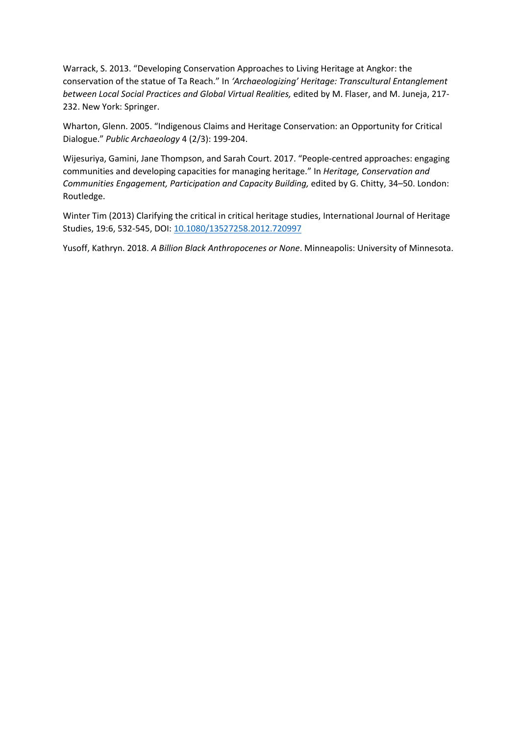Warrack, S. 2013. "Developing Conservation Approaches to Living Heritage at Angkor: the conservation of the statue of Ta Reach." In *'Archaeologizing' Heritage: Transcultural Entanglement between Local Social Practices and Global Virtual Realities,* edited by M. Flaser, and M. Juneja, 217- 232. New York: Springer.

Wharton, Glenn. 2005. "Indigenous Claims and Heritage Conservation: an Opportunity for Critical Dialogue." *Public Archaeology* 4 (2/3): 199-204.

Wijesuriya, Gamini, Jane Thompson, and Sarah Court. 2017. "People-centred approaches: engaging communities and developing capacities for managing heritage." In *Heritage, Conservation and Communities Engagement, Participation and Capacity Building,* edited by G. Chitty, 34–50. London: Routledge.

Winter Tim (2013) Clarifying the critical in critical heritage studies, International Journal of Heritage Studies, 19:6, 532-545, DOI: [10.1080/13527258.2012.720997](https://doi.org/10.1080/13527258.2012.720997)

Yusoff, Kathryn. 2018. *A Billion Black Anthropocenes or None*. Minneapolis: University of Minnesota.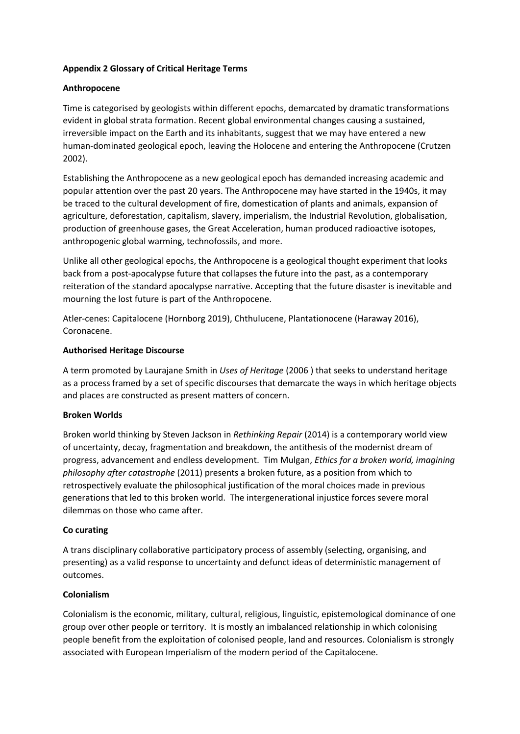# **Appendix 2 Glossary of Critical Heritage Terms**

# **Anthropocene**

Time is categorised by geologists within different epochs, demarcated by dramatic transformations evident in global strata formation. Recent global environmental changes causing a sustained, irreversible impact on the Earth and its inhabitants, suggest that we may have entered a new human-dominated geological epoch, leaving the Holocene and entering the Anthropocene (Crutzen 2002).

Establishing the Anthropocene as a new geological epoch has demanded increasing academic and popular attention over the past 20 years. The Anthropocene may have started in the 1940s, it may be traced to the cultural development of fire, domestication of plants and animals, expansion of agriculture, deforestation, capitalism, slavery, imperialism, the Industrial Revolution, globalisation, production of greenhouse gases, the Great Acceleration, human produced radioactive isotopes, anthropogenic global warming, technofossils, and more.

Unlike all other geological epochs, the Anthropocene is a geological thought experiment that looks back from a post-apocalypse future that collapses the future into the past, as a contemporary reiteration of the standard apocalypse narrative. Accepting that the future disaster is inevitable and mourning the lost future is part of the Anthropocene.

Atler-cenes: Capitalocene (Hornborg 2019), Chthulucene, Plantationocene (Haraway 2016), Coronacene.

#### **Authorised Heritage Discourse**

A term promoted by Laurajane Smith in *Uses of Heritage* (2006 ) that seeks to understand heritage as a process framed by a set of specific discourses that demarcate the ways in which heritage objects and places are constructed as present matters of concern.

#### **Broken Worlds**

Broken world thinking by Steven Jackson in *Rethinking Repair* (2014) is a contemporary world view of uncertainty, decay, fragmentation and breakdown, the antithesis of the modernist dream of progress, advancement and endless development. Tim Mulgan, *Ethics for a broken world, imagining philosophy after catastrophe* (2011) presents a broken future, as a position from which to retrospectively evaluate the philosophical justification of the moral choices made in previous generations that led to this broken world. The intergenerational injustice forces severe moral dilemmas on those who came after.

#### **Co curating**

A trans disciplinary collaborative participatory process of assembly (selecting, organising, and presenting) as a valid response to uncertainty and defunct ideas of deterministic management of outcomes.

#### **Colonialism**

Colonialism is the economic, military, cultural, religious, linguistic, epistemological dominance of one group over other people or territory. It is mostly an imbalanced relationship in which colonising people benefit from the exploitation of colonised people, land and resources. Colonialism is strongly associated with European Imperialism of the modern period of the Capitalocene.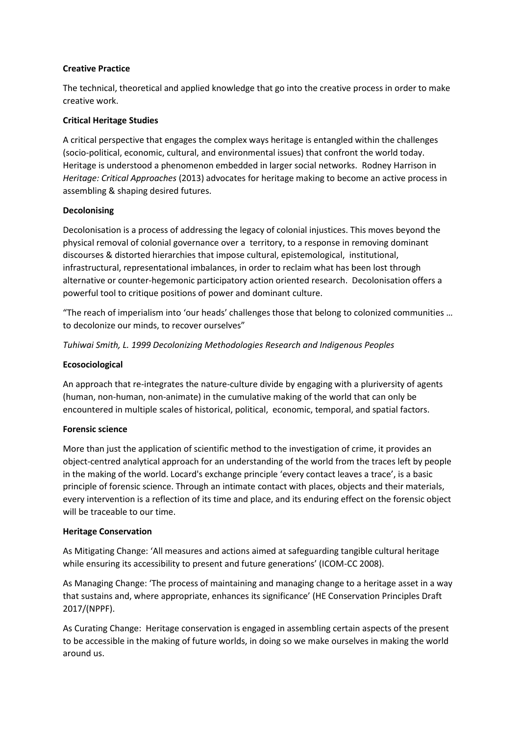# **Creative Practice**

The technical, theoretical and applied knowledge that go into the creative process in order to make creative work.

# **Critical Heritage Studies**

A critical perspective that engages the complex ways heritage is entangled within the challenges (socio-political, economic, cultural, and environmental issues) that confront the world today. Heritage is understood a phenomenon embedded in larger social networks. Rodney Harrison in *Heritage: Critical Approaches* (2013) advocates for heritage making to become an active process in assembling & shaping desired futures.

# **Decolonising**

Decolonisation is a process of addressing the legacy of colonial injustices. This moves beyond the physical removal of colonial governance over a territory, to a response in removing dominant discourses & distorted hierarchies that impose cultural, epistemological, institutional, infrastructural, representational imbalances, in order to reclaim what has been lost through alternative or counter-hegemonic participatory action oriented research. Decolonisation offers a powerful tool to critique positions of power and dominant culture.

"The reach of imperialism into 'our heads' challenges those that belong to colonized communities … to decolonize our minds, to recover ourselves"

*Tuhiwai Smith, L. 1999 Decolonizing Methodologies Research and Indigenous Peoples*

# **Ecosociological**

An approach that re-integrates the nature-culture divide by engaging with a pluriversity of agents (human, non-human, non-animate) in the cumulative making of the world that can only be encountered in multiple scales of historical, political, economic, temporal, and spatial factors.

#### **Forensic science**

More than just the application of scientific method to the investigation of crime, it provides an object-centred analytical approach for an understanding of the world from the traces left by people in the making of the world. Locard's exchange principle 'every contact leaves a trace', is a basic principle of forensic science. Through an intimate contact with places, objects and their materials, every intervention is a reflection of its time and place, and its enduring effect on the forensic object will be traceable to our time.

#### **Heritage Conservation**

As Mitigating Change: 'All measures and actions aimed at safeguarding tangible cultural heritage while ensuring its accessibility to present and future generations' (ICOM-CC 2008).

As Managing Change: 'The process of maintaining and managing change to a heritage asset in a way that sustains and, where appropriate, enhances its significance' (HE Conservation Principles Draft 2017/(NPPF).

As Curating Change: Heritage conservation is engaged in assembling certain aspects of the present to be accessible in the making of future worlds, in doing so we make ourselves in making the world around us.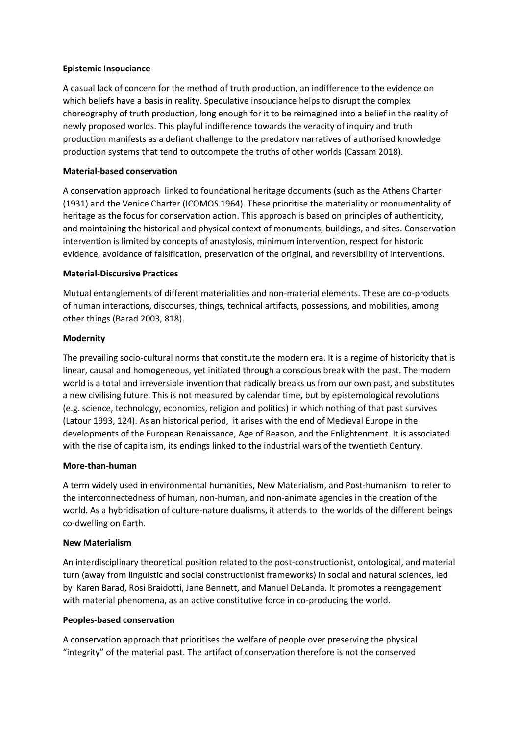#### **Epistemic Insouciance**

A casual lack of concern for the method of truth production, an indifference to the evidence on which beliefs have a basis in reality. Speculative insouciance helps to disrupt the complex choreography of truth production, long enough for it to be reimagined into a belief in the reality of newly proposed worlds. This playful indifference towards the veracity of inquiry and truth production manifests as a defiant challenge to the predatory narratives of authorised knowledge production systems that tend to outcompete the truths of other worlds (Cassam 2018).

# **Material-based conservation**

A conservation approach linked to foundational heritage documents (such as the Athens Charter (1931) and the Venice Charter (ICOMOS 1964). These prioritise the materiality or monumentality of heritage as the focus for conservation action. This approach is based on principles of authenticity, and maintaining the historical and physical context of monuments, buildings, and sites. Conservation intervention is limited by concepts of anastylosis, minimum intervention, respect for historic evidence, avoidance of falsification, preservation of the original, and reversibility of interventions.

# **Material-Discursive Practices**

Mutual entanglements of different materialities and non-material elements. These are co-products of human interactions, discourses, things, technical artifacts, possessions, and mobilities, among other things (Barad 2003, 818).

# **Modernity**

The prevailing socio-cultural norms that constitute the modern era. It is a regime of historicity that is linear, causal and homogeneous, yet initiated through a conscious break with the past. The modern world is a total and irreversible invention that radically breaks us from our own past, and substitutes a new civilising future. This is not measured by calendar time, but by epistemological revolutions (e.g. science, technology, economics, religion and politics) in which nothing of that past survives (Latour 1993, 124). As an historical period, it arises with the end of Medieval Europe in the developments of the European Renaissance, Age of Reason, and the Enlightenment. It is associated with the rise of capitalism, its endings linked to the industrial wars of the twentieth Century.

#### **More-than-human**

A term widely used in environmental humanities, New Materialism, and Post-humanism to refer to the interconnectedness of human, non-human, and non-animate agencies in the creation of the world. As a hybridisation of culture-nature dualisms, it attends to the worlds of the different beings co-dwelling on Earth.

#### **New Materialism**

An interdisciplinary theoretical position related to the post-constructionist, ontological, and material turn (away from linguistic and social constructionist frameworks) in social and natural sciences, led by Karen Barad, Rosi Braidotti, Jane Bennett, and Manuel DeLanda. It promotes a reengagement with material phenomena, as an active constitutive force in co-producing the world.

#### **Peoples-based conservation**

A conservation approach that prioritises the welfare of people over preserving the physical "integrity" of the material past. The artifact of conservation therefore is not the conserved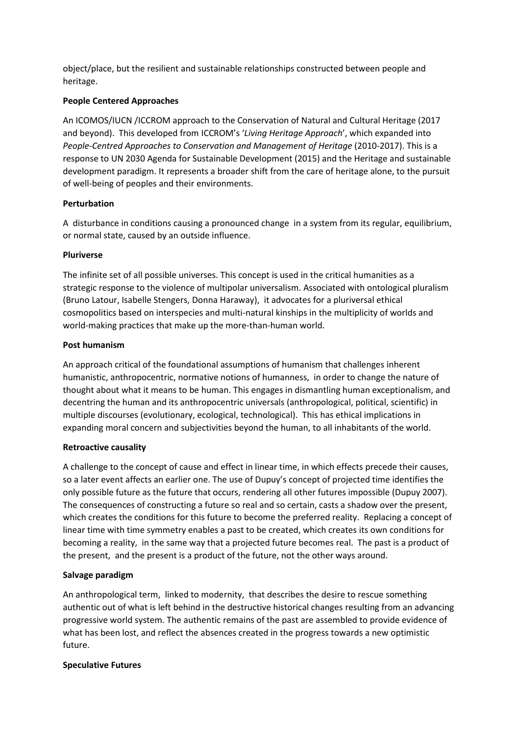object/place, but the resilient and sustainable relationships constructed between people and heritage.

#### **People Centered Approaches**

An ICOMOS/IUCN /ICCROM approach to the Conservation of Natural and Cultural Heritage (2017 and beyond). This developed from ICCROM's '*Living Heritage Approach*', which expanded into *People-Centred Approaches to Conservation and Management of Heritage (2010-2017). This is a* response to UN 2030 Agenda for Sustainable Development (2015) and the Heritage and sustainable development paradigm. It represents a broader shift from the care of heritage alone, to the pursuit of well-being of peoples and their environments.

# **Perturbation**

A disturbance in conditions causing a pronounced change in a system from its regular, equilibrium, or normal state, caused by an outside influence.

# **Pluriverse**

The infinite set of all possible universes. This concept is used in the critical humanities as a strategic response to the violence of multipolar universalism. Associated with ontological pluralism (Bruno Latour, Isabelle Stengers, Donna Haraway), it advocates for a pluriversal ethical cosmopolitics based on interspecies and multi-natural kinships in the multiplicity of worlds and world-making practices that make up the more-than-human world.

# **Post humanism**

An approach critical of the foundational assumptions of humanism that challenges inherent humanistic, anthropocentric, normative notions of humanness, in order to change the nature of thought about what it means to be human. This engages in dismantling human exceptionalism, and decentring the human and its anthropocentric universals (anthropological, political, scientific) in multiple discourses (evolutionary, ecological, technological). This has ethical implications in expanding moral concern and subjectivities beyond the human, to all inhabitants of the world.

# **Retroactive causality**

A challenge to the concept of [cause and effect](https://en.wikipedia.org/wiki/Cause_and_effect) in linear time, in which effects precede their causes, so a later event affects an earlier one. The use of Dupuy's concept of projected time identifies the only possible future as the future that occurs, rendering all other futures impossible (Dupuy 2007). The consequences of constructing a future so real and so certain, casts a shadow over the present, which creates the conditions for this future to become the preferred reality. Replacing a concept of linear time with time symmetry enables a past to be created, which creates its own conditions for becoming a reality, in the same way that a projected future becomes real. The past is a product of the present, and the present is a product of the future, not the other ways around.

# **Salvage paradigm**

An anthropological term, linked to modernity, that describes the desire to rescue something authentic out of what is left behind in the destructive historical changes resulting from an advancing progressive world system. The authentic remains of the past are assembled to provide evidence of what has been lost, and reflect the absences created in the progress towards a new optimistic future.

#### **Speculative Futures**